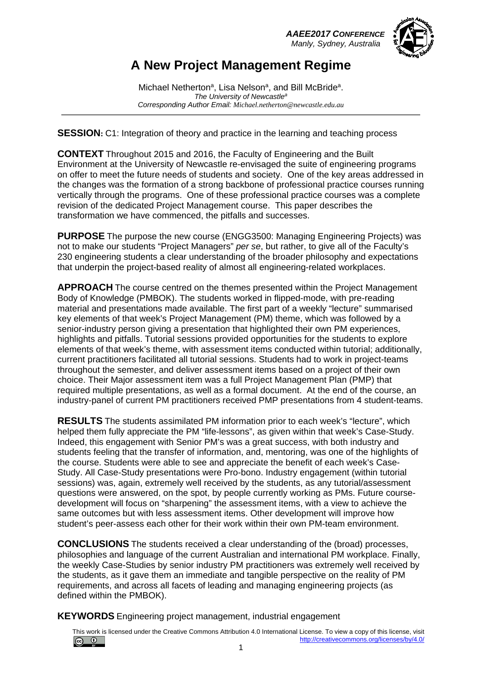*AAEE2017 CONFERENCE Manly, Sydney, Australia*



## **A New Project Management Regime**

Michael Netherton<sup>a</sup>, Lisa Nelson<sup>a</sup>, and Bill McBride<sup>a</sup>. *The University of Newcastlea Corresponding Author Email: Michael.netherton@newcastle.edu.au*

**SESSION:** C1: Integration of theory and practice in the learning and teaching process

**CONTEXT** Throughout 2015 and 2016, the Faculty of Engineering and the Built Environment at the University of Newcastle re-envisaged the suite of engineering programs on offer to meet the future needs of students and society. One of the key areas addressed in the changes was the formation of a strong backbone of professional practice courses running vertically through the programs. One of these professional practice courses was a complete revision of the dedicated Project Management course. This paper describes the transformation we have commenced, the pitfalls and successes.

**PURPOSE** The purpose the new course (ENGG3500: Managing Engineering Projects) was not to make our students "Project Managers" *per se*, but rather, to give all of the Faculty's 230 engineering students a clear understanding of the broader philosophy and expectations that underpin the project-based reality of almost all engineering-related workplaces.

**APPROACH** The course centred on the themes presented within the Project Management Body of Knowledge (PMBOK). The students worked in flipped-mode, with pre-reading material and presentations made available. The first part of a weekly "lecture" summarised key elements of that week's Project Management (PM) theme, which was followed by a senior-industry person giving a presentation that highlighted their own PM experiences, highlights and pitfalls. Tutorial sessions provided opportunities for the students to explore elements of that week's theme, with assessment items conducted within tutorial; additionally, current practitioners facilitated all tutorial sessions. Students had to work in project-teams throughout the semester, and deliver assessment items based on a project of their own choice. Their Major assessment item was a full Project Management Plan (PMP) that required multiple presentations, as well as a formal document. At the end of the course, an industry-panel of current PM practitioners received PMP presentations from 4 student-teams.

**RESULTS** The students assimilated PM information prior to each week's "lecture", which helped them fully appreciate the PM "life-lessons", as given within that week's Case-Study. Indeed, this engagement with Senior PM's was a great success, with both industry and students feeling that the transfer of information, and, mentoring, was one of the highlights of the course. Students were able to see and appreciate the benefit of each week's Case-Study. All Case-Study presentations were Pro-bono. Industry engagement (within tutorial sessions) was, again, extremely well received by the students, as any tutorial/assessment questions were answered, on the spot, by people currently working as PMs. Future coursedevelopment will focus on "sharpening" the assessment items, with a view to achieve the same outcomes but with less assessment items. Other development will improve how student's peer-assess each other for their work within their own PM-team environment.

**CONCLUSIONS** The students received a clear understanding of the (broad) processes, philosophies and language of the current Australian and international PM workplace. Finally, the weekly Case-Studies by senior industry PM practitioners was extremely well received by the students, as it gave them an immediate and tangible perspective on the reality of PM requirements, and across all facets of leading and managing engineering projects (as defined within the PMBOK).

**KEYWORDS** Engineering project management, industrial engagement

This work is licensed under the Creative Commons Attribution 4.0 International License. To view a copy of this license, visit  $\circledcirc$ <http://creativecommons.org/licenses/by/4.0/>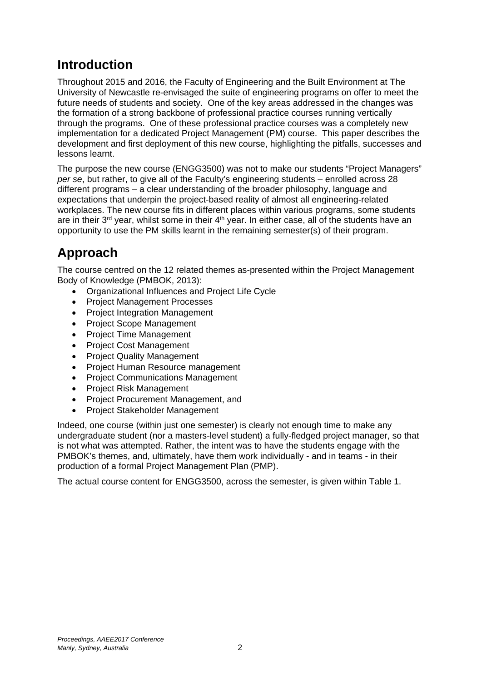## **Introduction**

Throughout 2015 and 2016, the Faculty of Engineering and the Built Environment at The University of Newcastle re-envisaged the suite of engineering programs on offer to meet the future needs of students and society. One of the key areas addressed in the changes was the formation of a strong backbone of professional practice courses running vertically through the programs. One of these professional practice courses was a completely new implementation for a dedicated Project Management (PM) course. This paper describes the development and first deployment of this new course, highlighting the pitfalls, successes and lessons learnt.

The purpose the new course (ENGG3500) was not to make our students "Project Managers" *per se*, but rather, to give all of the Faculty's engineering students – enrolled across 28 different programs – a clear understanding of the broader philosophy, language and expectations that underpin the project-based reality of almost all engineering-related workplaces. The new course fits in different places within various programs, some students are in their  $3<sup>rd</sup>$  year, whilst some in their  $4<sup>th</sup>$  year. In either case, all of the students have an opportunity to use the PM skills learnt in the remaining semester(s) of their program.

# **Approach**

The course centred on the 12 related themes as-presented within the Project Management Body of Knowledge (PMBOK, 2013):

- Organizational Influences and Project Life Cycle
- Project Management Processes
- Project Integration Management
- Project Scope Management
- Project Time Management
- Project Cost Management
- Project Quality Management
- Project Human Resource management
- Project Communications Management
- Project Risk Management
- Project Procurement Management, and
- Project Stakeholder Management

Indeed, one course (within just one semester) is clearly not enough time to make any undergraduate student (nor a masters-level student) a fully-fledged project manager, so that is not what was attempted. Rather, the intent was to have the students engage with the PMBOK's themes, and, ultimately, have them work individually - and in teams - in their production of a formal Project Management Plan (PMP).

The actual course content for ENGG3500, across the semester, is given within Table 1.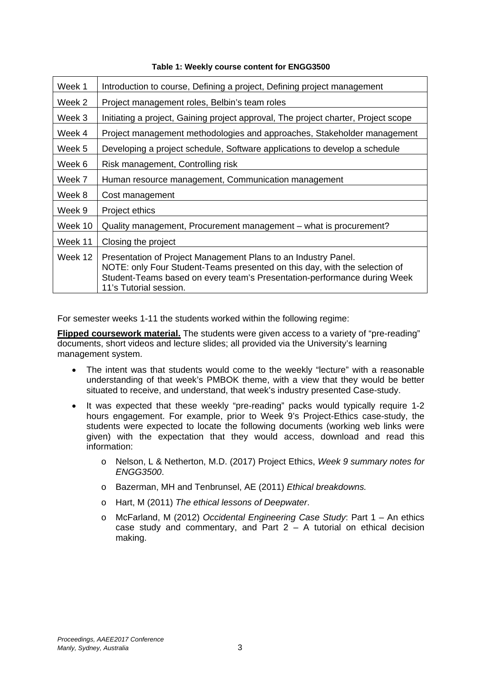| Week 1  | Introduction to course, Defining a project, Defining project management                                                                                                                                                                            |  |  |
|---------|----------------------------------------------------------------------------------------------------------------------------------------------------------------------------------------------------------------------------------------------------|--|--|
| Week 2  | Project management roles, Belbin's team roles                                                                                                                                                                                                      |  |  |
| Week 3  | Initiating a project, Gaining project approval, The project charter, Project scope                                                                                                                                                                 |  |  |
| Week 4  | Project management methodologies and approaches, Stakeholder management                                                                                                                                                                            |  |  |
| Week 5  | Developing a project schedule, Software applications to develop a schedule                                                                                                                                                                         |  |  |
| Week 6  | Risk management, Controlling risk                                                                                                                                                                                                                  |  |  |
| Week 7  | Human resource management, Communication management                                                                                                                                                                                                |  |  |
| Week 8  | Cost management                                                                                                                                                                                                                                    |  |  |
| Week 9  | Project ethics                                                                                                                                                                                                                                     |  |  |
| Week 10 | Quality management, Procurement management – what is procurement?                                                                                                                                                                                  |  |  |
| Week 11 | Closing the project                                                                                                                                                                                                                                |  |  |
| Week 12 | Presentation of Project Management Plans to an Industry Panel.<br>NOTE: only Four Student-Teams presented on this day, with the selection of<br>Student-Teams based on every team's Presentation-performance during Week<br>11's Tutorial session. |  |  |

#### **Table 1: Weekly course content for ENGG3500**

For semester weeks 1-11 the students worked within the following regime:

**Flipped coursework material.** The students were given access to a variety of "pre-reading" documents, short videos and lecture slides; all provided via the University's learning management system.

- The intent was that students would come to the weekly "lecture" with a reasonable understanding of that week's PMBOK theme, with a view that they would be better situated to receive, and understand, that week's industry presented Case-study.
- It was expected that these weekly "pre-reading" packs would typically require 1-2 hours engagement. For example, prior to Week 9's Project-Ethics case-study, the students were expected to locate the following documents (working web links were given) with the expectation that they would access, download and read this information:
	- o Nelson, L & Netherton, M.D. (2017) Project Ethics, *Week 9 summary notes for ENGG3500*.
	- o Bazerman, MH and Tenbrunsel, AE (2011) *Ethical breakdowns.*
	- o Hart, M (2011) *The ethical lessons of Deepwater*.
	- o McFarland, M (2012) *Occidental Engineering Case Study*: Part 1 An ethics case study and commentary, and Part  $2 - A$  tutorial on ethical decision making.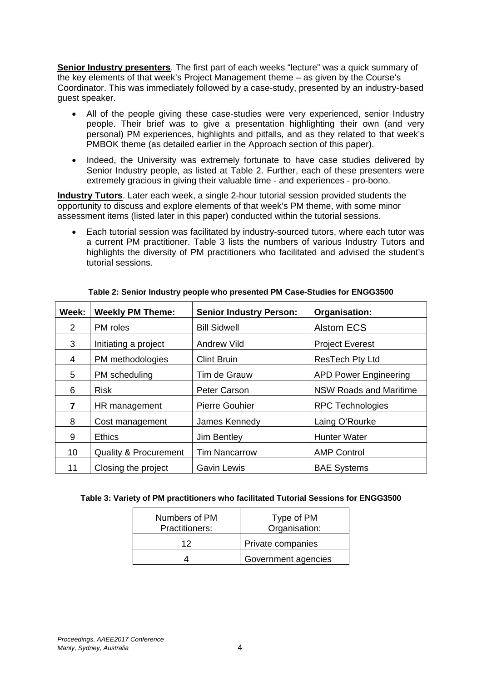**Senior Industry presenters**. The first part of each weeks "lecture" was a quick summary of the key elements of that week's Project Management theme – as given by the Course's Coordinator. This was immediately followed by a case-study, presented by an industry-based guest speaker.

- All of the people giving these case-studies were very experienced, senior Industry people. Their brief was to give a presentation highlighting their own (and very personal) PM experiences, highlights and pitfalls, and as they related to that week's PMBOK theme (as detailed earlier in the Approach section of this paper).
- Indeed, the University was extremely fortunate to have case studies delivered by Senior Industry people, as listed at Table 2. Further, each of these presenters were extremely gracious in giving their valuable time - and experiences - pro-bono.

**Industry Tutors**. Later each week, a single 2-hour tutorial session provided students the opportunity to discuss and explore elements of that week's PM theme, with some minor assessment items (listed later in this paper) conducted within the tutorial sessions.

• Each tutorial session was facilitated by industry-sourced tutors, where each tutor was a current PM practitioner. Table 3 lists the numbers of various Industry Tutors and highlights the diversity of PM practitioners who facilitated and advised the student's tutorial sessions.

| Week: | <b>Weekly PM Theme:</b>          | <b>Senior Industry Person:</b> | Organisation:                 |  |
|-------|----------------------------------|--------------------------------|-------------------------------|--|
| 2     | PM roles                         | <b>Bill Sidwell</b>            | <b>Alstom ECS</b>             |  |
| 3     | Initiating a project             | <b>Andrew Vild</b>             | <b>Project Everest</b>        |  |
| 4     | PM methodologies                 | <b>Clint Bruin</b>             | <b>ResTech Pty Ltd</b>        |  |
| 5     | PM scheduling                    | Tim de Grauw                   | <b>APD Power Engineering</b>  |  |
| 6     | <b>Risk</b>                      | Peter Carson                   | <b>NSW Roads and Maritime</b> |  |
| 7     | HR management                    | <b>Pierre Gouhier</b>          | <b>RPC Technologies</b>       |  |
| 8     | Cost management                  | James Kennedy                  | Laing O'Rourke                |  |
| 9     | <b>Ethics</b>                    | Jim Bentley                    | <b>Hunter Water</b>           |  |
| 10    | <b>Quality &amp; Procurement</b> | <b>Tim Nancarrow</b>           | <b>AMP Control</b>            |  |
| 11    | Closing the project              | <b>Gavin Lewis</b>             | <b>BAE Systems</b>            |  |

#### **Table 2: Senior Industry people who presented PM Case-Studies for ENGG3500**

| Numbers of PM<br>Practitioners: | Type of PM<br>Organisation: |
|---------------------------------|-----------------------------|
| 12                              | Private companies           |
|                                 | Government agencies         |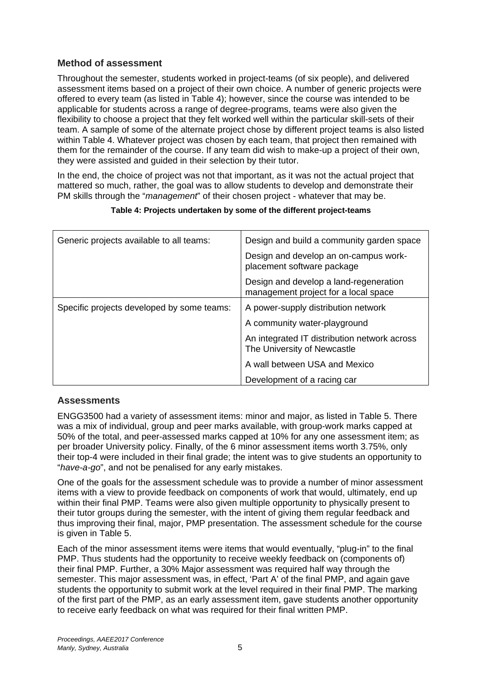### **Method of assessment**

Throughout the semester, students worked in project-teams (of six people), and delivered assessment items based on a project of their own choice. A number of generic projects were offered to every team (as listed in Table 4); however, since the course was intended to be applicable for students across a range of degree-programs, teams were also given the flexibility to choose a project that they felt worked well within the particular skill-sets of their team. A sample of some of the alternate project chose by different project teams is also listed within Table 4. Whatever project was chosen by each team, that project then remained with them for the remainder of the course. If any team did wish to make-up a project of their own, they were assisted and guided in their selection by their tutor.

In the end, the choice of project was not that important, as it was not the actual project that mattered so much, rather, the goal was to allow students to develop and demonstrate their PM skills through the "*management*" of their chosen project - whatever that may be.

| Generic projects available to all teams:   | Design and build a community garden space                                      |  |
|--------------------------------------------|--------------------------------------------------------------------------------|--|
|                                            | Design and develop an on-campus work-<br>placement software package            |  |
|                                            | Design and develop a land-regeneration<br>management project for a local space |  |
| Specific projects developed by some teams: | A power-supply distribution network                                            |  |
|                                            | A community water-playground                                                   |  |
|                                            | An integrated IT distribution network across<br>The University of Newcastle    |  |
|                                            | A wall between USA and Mexico                                                  |  |
|                                            | Development of a racing car                                                    |  |

#### **Table 4: Projects undertaken by some of the different project-teams**

### **Assessments**

ENGG3500 had a variety of assessment items: minor and major, as listed in Table 5. There was a mix of individual, group and peer marks available, with group-work marks capped at 50% of the total, and peer-assessed marks capped at 10% for any one assessment item; as per broader University policy. Finally, of the 6 minor assessment items worth 3.75%, only their top-4 were included in their final grade; the intent was to give students an opportunity to "*have-a-go*", and not be penalised for any early mistakes.

One of the goals for the assessment schedule was to provide a number of minor assessment items with a view to provide feedback on components of work that would, ultimately, end up within their final PMP. Teams were also given multiple opportunity to physically present to their tutor groups during the semester, with the intent of giving them regular feedback and thus improving their final, major, PMP presentation. The assessment schedule for the course is given in Table 5.

Each of the minor assessment items were items that would eventually, "plug-in" to the final PMP. Thus students had the opportunity to receive weekly feedback on (components of) their final PMP. Further, a 30% Major assessment was required half way through the semester. This major assessment was, in effect, 'Part A' of the final PMP, and again gave students the opportunity to submit work at the level required in their final PMP. The marking of the first part of the PMP, as an early assessment item, gave students another opportunity to receive early feedback on what was required for their final written PMP.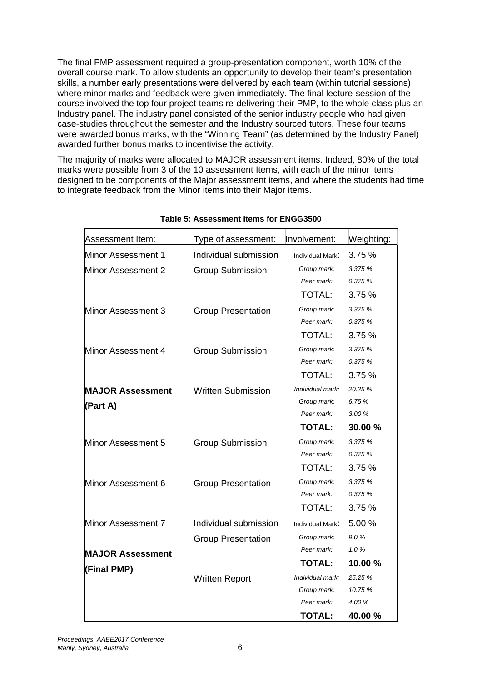The final PMP assessment required a group-presentation component, worth 10% of the overall course mark. To allow students an opportunity to develop their team's presentation skills, a number early presentations were delivered by each team (within tutorial sessions) where minor marks and feedback were given immediately. The final lecture-session of the course involved the top four project-teams re-delivering their PMP, to the whole class plus an Industry panel. The industry panel consisted of the senior industry people who had given case-studies throughout the semester and the Industry sourced tutors. These four teams were awarded bonus marks, with the "Winning Team" (as determined by the Industry Panel) awarded further bonus marks to incentivise the activity.

The majority of marks were allocated to MAJOR assessment items. Indeed, 80% of the total marks were possible from 3 of the 10 assessment Items, with each of the minor items designed to be components of the Major assessment items, and where the students had time to integrate feedback from the Minor items into their Major items.

| Assessment Item:        | Type of assessment:       | Involvement:                               | Weighting:                   |
|-------------------------|---------------------------|--------------------------------------------|------------------------------|
| Minor Assessment 1      | Individual submission     | Individual Mark:                           | 3.75 %                       |
| Minor Assessment 2      | <b>Group Submission</b>   | Group mark:<br>Peer mark:                  | 3.375 %<br>0.375 %           |
|                         |                           | TOTAL:                                     | 3.75%                        |
| Minor Assessment 3      | <b>Group Presentation</b> | Group mark:<br>Peer mark:<br><b>TOTAL:</b> | 3.375 %<br>0.375 %<br>3.75 % |
|                         |                           |                                            |                              |
| Minor Assessment 4      | <b>Group Submission</b>   | Group mark:<br>Peer mark:<br>TOTAL:        | 3.375 %<br>0.375 %<br>3.75%  |
| <b>MAJOR Assessment</b> | Written Submission        | Individual mark:                           | 20.25 %                      |
| (Part A)                |                           | Group mark:                                | 6.75 %                       |
|                         |                           | Peer mark:                                 | 3.00 %                       |
|                         |                           | <b>TOTAL:</b>                              | 30.00 %                      |
| Minor Assessment 5      | <b>Group Submission</b>   | Group mark:<br>Peer mark:                  | 3.375 %<br>0.375 %           |
|                         |                           | TOTAL:                                     | 3.75%                        |
| Minor Assessment 6      | <b>Group Presentation</b> | Group mark:<br>Peer mark:<br><b>TOTAL:</b> | 3.375 %<br>0.375 %<br>3.75%  |
| Minor Assessment 7      | Individual submission     | Individual Mark:                           | 5.00 %                       |
|                         | <b>Group Presentation</b> | Group mark:<br>Peer mark:                  | 9.0%<br>1.0%                 |
| <b>MAJOR Assessment</b> |                           | <b>TOTAL:</b>                              | 10.00 %                      |
| (Final PMP)             | <b>Written Report</b>     | Individual mark:                           | 25.25 %                      |
|                         |                           | Group mark:                                | 10.75 %                      |
|                         |                           | Peer mark:                                 | 4.00 %                       |
|                         |                           | <b>TOTAL:</b>                              | 40.00 %                      |

#### **Table 5: Assessment items for ENGG3500**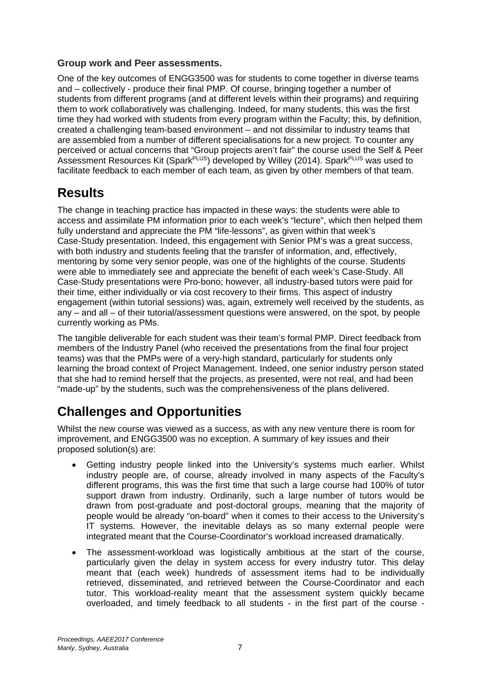### **Group work and Peer assessments.**

One of the key outcomes of ENGG3500 was for students to come together in diverse teams and – collectively - produce their final PMP. Of course, bringing together a number of students from different programs (and at different levels within their programs) and requiring them to work collaboratively was challenging. Indeed, for many students, this was the first time they had worked with students from every program within the Faculty; this, by definition, created a challenging team-based environment – and not dissimilar to industry teams that are assembled from a number of different specialisations for a new project. To counter any perceived or actual concerns that "Group projects aren't fair" the course used the Self & Peer Assessment Resources Kit (Spark<sup>PLUS</sup>) developed by Willey (2014). Spark<sup>PLUS</sup> was used to facilitate feedback to each member of each team, as given by other members of that team.

## **Results**

The change in teaching practice has impacted in these ways: the students were able to access and assimilate PM information prior to each week's "lecture", which then helped them fully understand and appreciate the PM "life-lessons", as given within that week's Case-Study presentation. Indeed, this engagement with Senior PM's was a great success, with both industry and students feeling that the transfer of information, and, effectively, mentoring by some very senior people, was one of the highlights of the course. Students were able to immediately see and appreciate the benefit of each week's Case-Study. All Case-Study presentations were Pro-bono; however, all industry-based tutors were paid for their time, either individually or via cost recovery to their firms. This aspect of industry engagement (within tutorial sessions) was, again, extremely well received by the students, as any – and all – of their tutorial/assessment questions were answered, on the spot, by people currently working as PMs.

The tangible deliverable for each student was their team's formal PMP. Direct feedback from members of the Industry Panel (who received the presentations from the final four project teams) was that the PMPs were of a very-high standard, particularly for students only learning the broad context of Project Management. Indeed, one senior industry person stated that she had to remind herself that the projects, as presented, were not real, and had been "made-up" by the students, such was the comprehensiveness of the plans delivered.

### **Challenges and Opportunities**

Whilst the new course was viewed as a success, as with any new venture there is room for improvement, and ENGG3500 was no exception. A summary of key issues and their proposed solution(s) are:

- Getting industry people linked into the University's systems much earlier. Whilst industry people are, of course, already involved in many aspects of the Faculty's different programs, this was the first time that such a large course had 100% of tutor support drawn from industry. Ordinarily, such a large number of tutors would be drawn from post-graduate and post-doctoral groups, meaning that the majority of people would be already "on-board" when it comes to their access to the University's IT systems. However, the inevitable delays as so many external people were integrated meant that the Course-Coordinator's workload increased dramatically.
- The assessment-workload was logistically ambitious at the start of the course, particularly given the delay in system access for every industry tutor. This delay meant that (each week) hundreds of assessment items had to be individually retrieved, disseminated, and retrieved between the Course-Coordinator and each tutor. This workload-reality meant that the assessment system quickly became overloaded, and timely feedback to all students - in the first part of the course -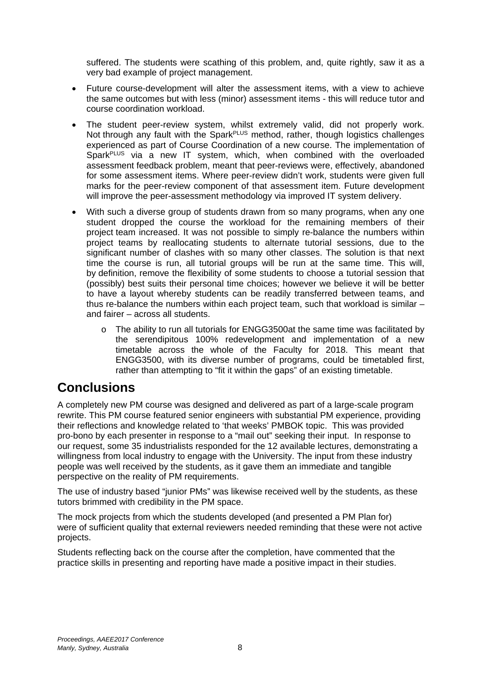suffered. The students were scathing of this problem, and, quite rightly, saw it as a very bad example of project management.

- Future course-development will alter the assessment items, with a view to achieve the same outcomes but with less (minor) assessment items - this will reduce tutor and course coordination workload.
- The student peer-review system, whilst extremely valid, did not properly work. Not through any fault with the Spark<sup>PLUS</sup> method, rather, though logistics challenges experienced as part of Course Coordination of a new course. The implementation of Spark<sup>PLUS</sup> via a new IT system, which, when combined with the overloaded assessment feedback problem, meant that peer-reviews were, effectively, abandoned for some assessment items. Where peer-review didn't work, students were given full marks for the peer-review component of that assessment item. Future development will improve the peer-assessment methodology via improved IT system delivery.
- With such a diverse group of students drawn from so many programs, when any one student dropped the course the workload for the remaining members of their project team increased. It was not possible to simply re-balance the numbers within project teams by reallocating students to alternate tutorial sessions, due to the significant number of clashes with so many other classes. The solution is that next time the course is run, all tutorial groups will be run at the same time. This will, by definition, remove the flexibility of some students to choose a tutorial session that (possibly) best suits their personal time choices; however we believe it will be better to have a layout whereby students can be readily transferred between teams, and thus re-balance the numbers within each project team, such that workload is similar – and fairer – across all students.
	- $\circ$  The ability to run all tutorials for ENGG3500at the same time was facilitated by the serendipitous 100% redevelopment and implementation of a new timetable across the whole of the Faculty for 2018. This meant that ENGG3500, with its diverse number of programs, could be timetabled first, rather than attempting to "fit it within the gaps" of an existing timetable.

### **Conclusions**

A completely new PM course was designed and delivered as part of a large-scale program rewrite. This PM course featured senior engineers with substantial PM experience, providing their reflections and knowledge related to 'that weeks' PMBOK topic. This was provided pro-bono by each presenter in response to a "mail out" seeking their input. In response to our request, some 35 industrialists responded for the 12 available lectures, demonstrating a willingness from local industry to engage with the University. The input from these industry people was well received by the students, as it gave them an immediate and tangible perspective on the reality of PM requirements.

The use of industry based "junior PMs" was likewise received well by the students, as these tutors brimmed with credibility in the PM space.

The mock projects from which the students developed (and presented a PM Plan for) were of sufficient quality that external reviewers needed reminding that these were not active projects.

Students reflecting back on the course after the completion, have commented that the practice skills in presenting and reporting have made a positive impact in their studies.